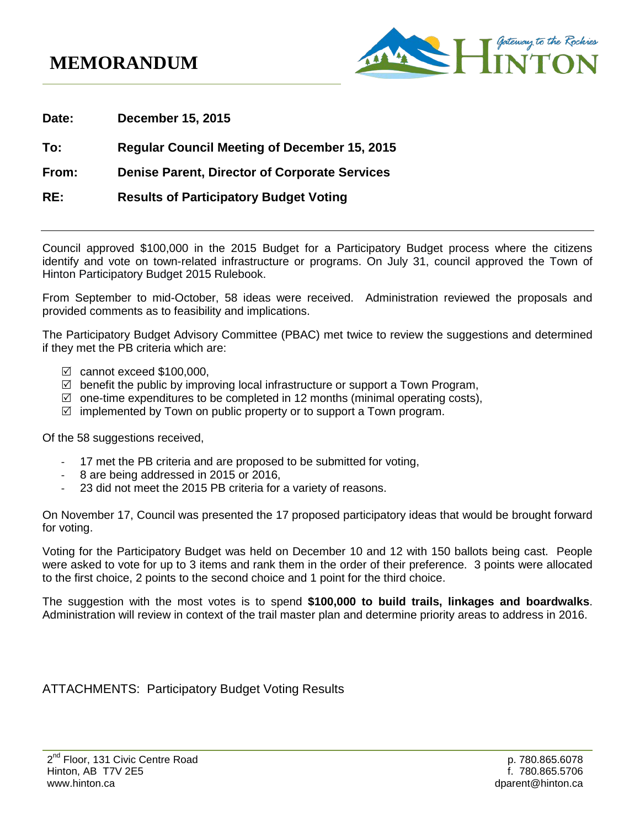## **MEMORANDUM**



**Date: December 15, 2015**

## **To: Regular Council Meeting of December 15, 2015**

**From: Denise Parent, Director of Corporate Services**

**RE: Results of Participatory Budget Voting**

Council approved \$100,000 in the 2015 Budget for a Participatory Budget process where the citizens identify and vote on town-related infrastructure or programs. On July 31, council approved the Town of Hinton Participatory Budget 2015 Rulebook.

From September to mid-October, 58 ideas were received. Administration reviewed the proposals and provided comments as to feasibility and implications.

The Participatory Budget Advisory Committee (PBAC) met twice to review the suggestions and determined if they met the PB criteria which are:

- $\boxtimes$  cannot exceed \$100,000,
- $\boxtimes$  benefit the public by improving local infrastructure or support a Town Program,
- $\boxtimes$  one-time expenditures to be completed in 12 months (minimal operating costs),
- $\mathbb Z$  implemented by Town on public property or to support a Town program.

Of the 58 suggestions received,

- 17 met the PB criteria and are proposed to be submitted for voting,
- 8 are being addressed in 2015 or 2016,
- 23 did not meet the 2015 PB criteria for a variety of reasons.

On November 17, Council was presented the 17 proposed participatory ideas that would be brought forward for voting.

Voting for the Participatory Budget was held on December 10 and 12 with 150 ballots being cast. People were asked to vote for up to 3 items and rank them in the order of their preference. 3 points were allocated to the first choice, 2 points to the second choice and 1 point for the third choice.

The suggestion with the most votes is to spend **\$100,000 to build trails, linkages and boardwalks**. Administration will review in context of the trail master plan and determine priority areas to address in 2016.

ATTACHMENTS: Participatory Budget Voting Results